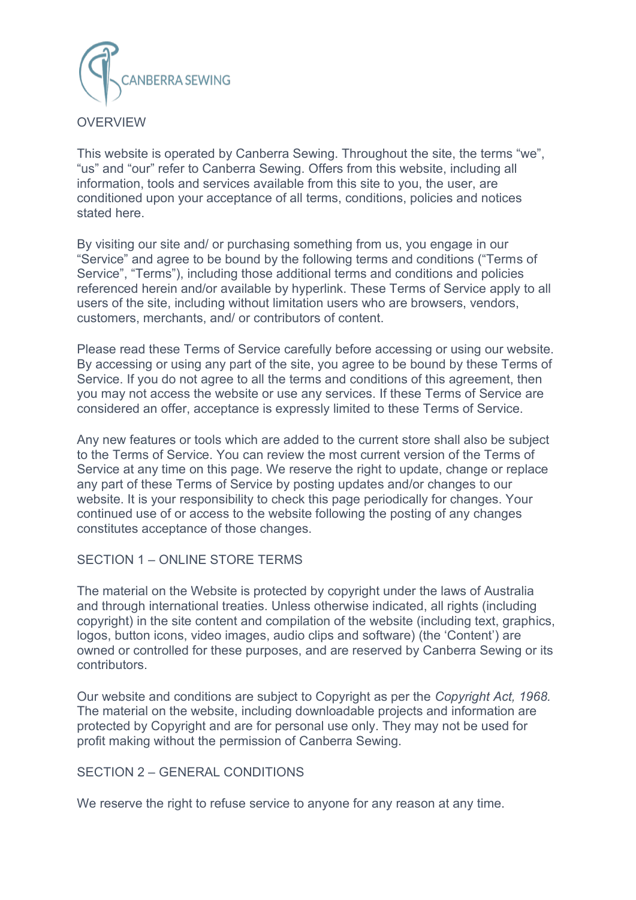

# **OVERVIEW**

This website is operated by Canberra Sewing. Throughout the site, the terms "we", "us" and "our" refer to Canberra Sewing. Offers from this website, including all information, tools and services available from this site to you, the user, are conditioned upon your acceptance of all terms, conditions, policies and notices stated here.

By visiting our site and/ or purchasing something from us, you engage in our "Service" and agree to be bound by the following terms and conditions ("Terms of Service", "Terms"), including those additional terms and conditions and policies referenced herein and/or available by hyperlink. These Terms of Service apply to all users of the site, including without limitation users who are browsers, vendors, customers, merchants, and/ or contributors of content.

Please read these Terms of Service carefully before accessing or using our website. By accessing or using any part of the site, you agree to be bound by these Terms of Service. If you do not agree to all the terms and conditions of this agreement, then you may not access the website or use any services. If these Terms of Service are considered an offer, acceptance is expressly limited to these Terms of Service.

Any new features or tools which are added to the current store shall also be subject to the Terms of Service. You can review the most current version of the Terms of Service at any time on this page. We reserve the right to update, change or replace any part of these Terms of Service by posting updates and/or changes to our website. It is your responsibility to check this page periodically for changes. Your continued use of or access to the website following the posting of any changes constitutes acceptance of those changes.

#### SECTION 1 – ONLINE STORE TERMS

The material on the Website is protected by copyright under the laws of Australia and through international treaties. Unless otherwise indicated, all rights (including copyright) in the site content and compilation of the website (including text, graphics, logos, button icons, video images, audio clips and software) (the 'Content') are owned or controlled for these purposes, and are reserved by Canberra Sewing or its contributors.

Our website and conditions are subject to Copyright as per the *Copyright Act, 1968.* The material on the website, including downloadable projects and information are protected by Copyright and are for personal use only. They may not be used for profit making without the permission of Canberra Sewing.

# SECTION 2 – GENERAL CONDITIONS

We reserve the right to refuse service to anyone for any reason at any time.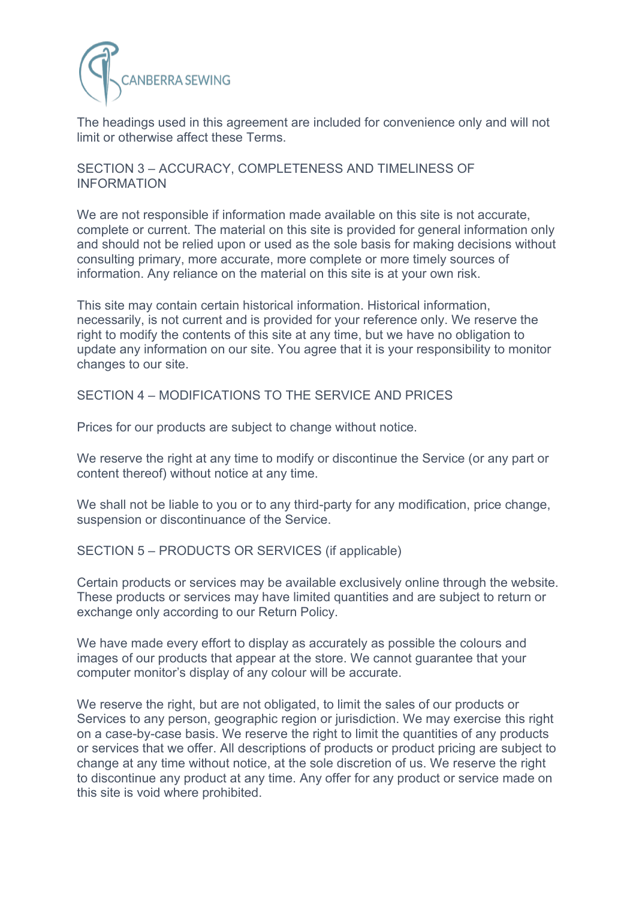

The headings used in this agreement are included for convenience only and will not limit or otherwise affect these Terms.

SECTION 3 – ACCURACY, COMPLETENESS AND TIMELINESS OF INFORMATION

We are not responsible if information made available on this site is not accurate, complete or current. The material on this site is provided for general information only and should not be relied upon or used as the sole basis for making decisions without consulting primary, more accurate, more complete or more timely sources of information. Any reliance on the material on this site is at your own risk.

This site may contain certain historical information. Historical information, necessarily, is not current and is provided for your reference only. We reserve the right to modify the contents of this site at any time, but we have no obligation to update any information on our site. You agree that it is your responsibility to monitor changes to our site.

SECTION 4 – MODIFICATIONS TO THE SERVICE AND PRICES

Prices for our products are subject to change without notice.

We reserve the right at any time to modify or discontinue the Service (or any part or content thereof) without notice at any time.

We shall not be liable to you or to any third-party for any modification, price change, suspension or discontinuance of the Service.

SECTION 5 – PRODUCTS OR SERVICES (if applicable)

Certain products or services may be available exclusively online through the website. These products or services may have limited quantities and are subject to return or exchange only according to our Return Policy.

We have made every effort to display as accurately as possible the colours and images of our products that appear at the store. We cannot guarantee that your computer monitor's display of any colour will be accurate.

We reserve the right, but are not obligated, to limit the sales of our products or Services to any person, geographic region or jurisdiction. We may exercise this right on a case-by-case basis. We reserve the right to limit the quantities of any products or services that we offer. All descriptions of products or product pricing are subject to change at any time without notice, at the sole discretion of us. We reserve the right to discontinue any product at any time. Any offer for any product or service made on this site is void where prohibited.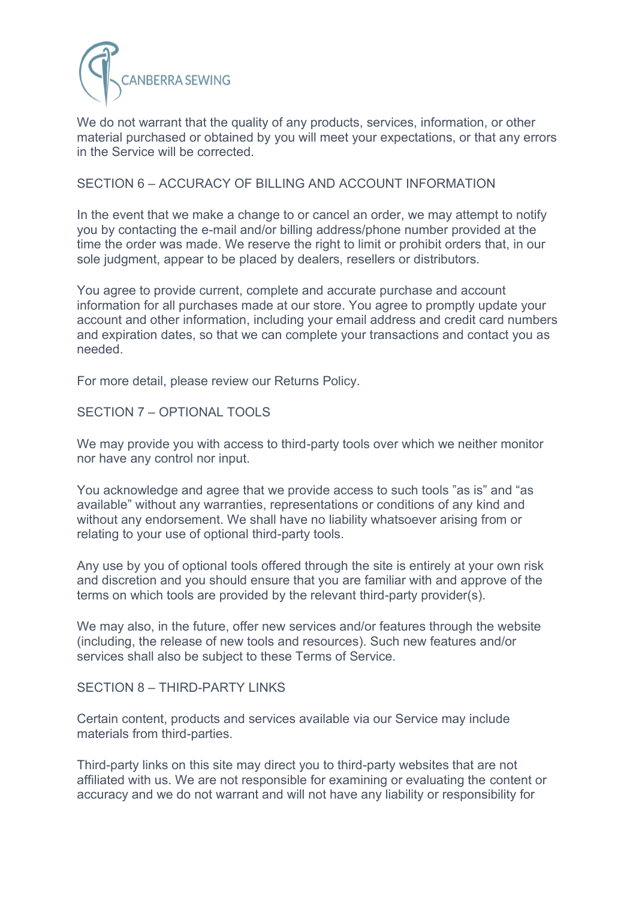

We do not warrant that the quality of any products, services, information, or other material purchased or obtained by you will meet your expectations, or that any errors in the Service will be corrected.

### SECTION 6 – ACCURACY OF BILLING AND ACCOUNT INFORMATION

In the event that we make a change to or cancel an order, we may attempt to notify you by contacting the e-mail and/or billing address/phone number provided at the time the order was made. We reserve the right to limit or prohibit orders that, in our sole judgment, appear to be placed by dealers, resellers or distributors.

You agree to provide current, complete and accurate purchase and account information for all purchases made at our store. You agree to promptly update your account and other information, including your email address and credit card numbers and expiration dates, so that we can complete your transactions and contact you as needed.

For more detail, please review our Returns Policy.

# SECTION 7 – OPTIONAL TOOLS

We may provide you with access to third-party tools over which we neither monitor nor have any control nor input.

You acknowledge and agree that we provide access to such tools "as is" and "as available" without any warranties, representations or conditions of any kind and without any endorsement. We shall have no liability whatsoever arising from or relating to your use of optional third-party tools.

Any use by you of optional tools offered through the site is entirely at your own risk and discretion and you should ensure that you are familiar with and approve of the terms on which tools are provided by the relevant third-party provider(s).

We may also, in the future, offer new services and/or features through the website (including, the release of new tools and resources). Such new features and/or services shall also be subject to these Terms of Service.

# SECTION 8 – THIRD-PARTY LINKS

Certain content, products and services available via our Service may include materials from third-parties.

Third-party links on this site may direct you to third-party websites that are not affiliated with us. We are not responsible for examining or evaluating the content or accuracy and we do not warrant and will not have any liability or responsibility for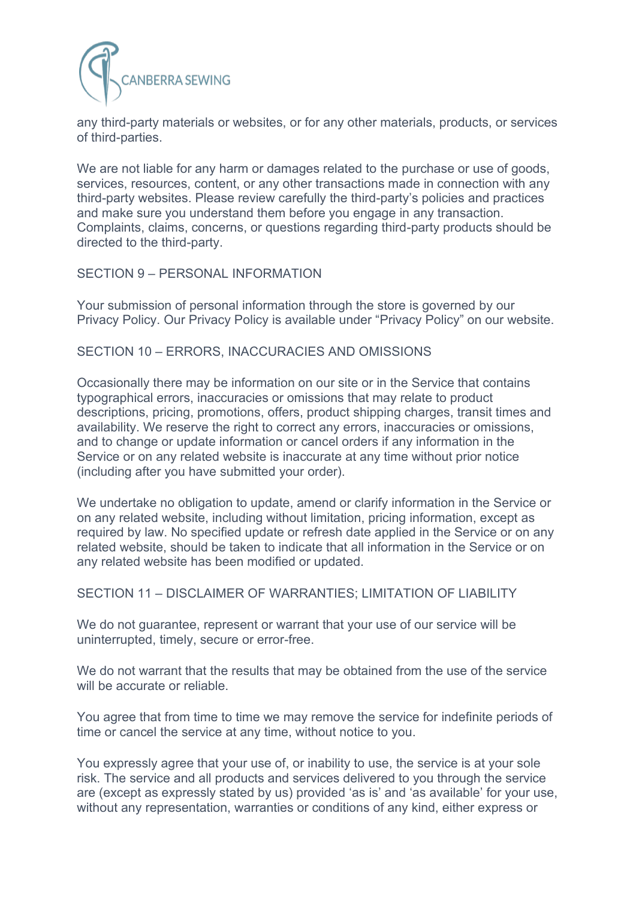

any third-party materials or websites, or for any other materials, products, or services of third-parties.

We are not liable for any harm or damages related to the purchase or use of goods, services, resources, content, or any other transactions made in connection with any third-party websites. Please review carefully the third-party's policies and practices and make sure you understand them before you engage in any transaction. Complaints, claims, concerns, or questions regarding third-party products should be directed to the third-party.

### SECTION 9 – PERSONAL INFORMATION

Your submission of personal information through the store is governed by our Privacy Policy. Our Privacy Policy is available under "Privacy Policy" on our website.

### SECTION 10 – ERRORS, INACCURACIES AND OMISSIONS

Occasionally there may be information on our site or in the Service that contains typographical errors, inaccuracies or omissions that may relate to product descriptions, pricing, promotions, offers, product shipping charges, transit times and availability. We reserve the right to correct any errors, inaccuracies or omissions, and to change or update information or cancel orders if any information in the Service or on any related website is inaccurate at any time without prior notice (including after you have submitted your order).

We undertake no obligation to update, amend or clarify information in the Service or on any related website, including without limitation, pricing information, except as required by law. No specified update or refresh date applied in the Service or on any related website, should be taken to indicate that all information in the Service or on any related website has been modified or updated.

# SECTION 11 – DISCLAIMER OF WARRANTIES; LIMITATION OF LIABILITY

We do not guarantee, represent or warrant that your use of our service will be uninterrupted, timely, secure or error-free.

We do not warrant that the results that may be obtained from the use of the service will be accurate or reliable.

You agree that from time to time we may remove the service for indefinite periods of time or cancel the service at any time, without notice to you.

You expressly agree that your use of, or inability to use, the service is at your sole risk. The service and all products and services delivered to you through the service are (except as expressly stated by us) provided 'as is' and 'as available' for your use, without any representation, warranties or conditions of any kind, either express or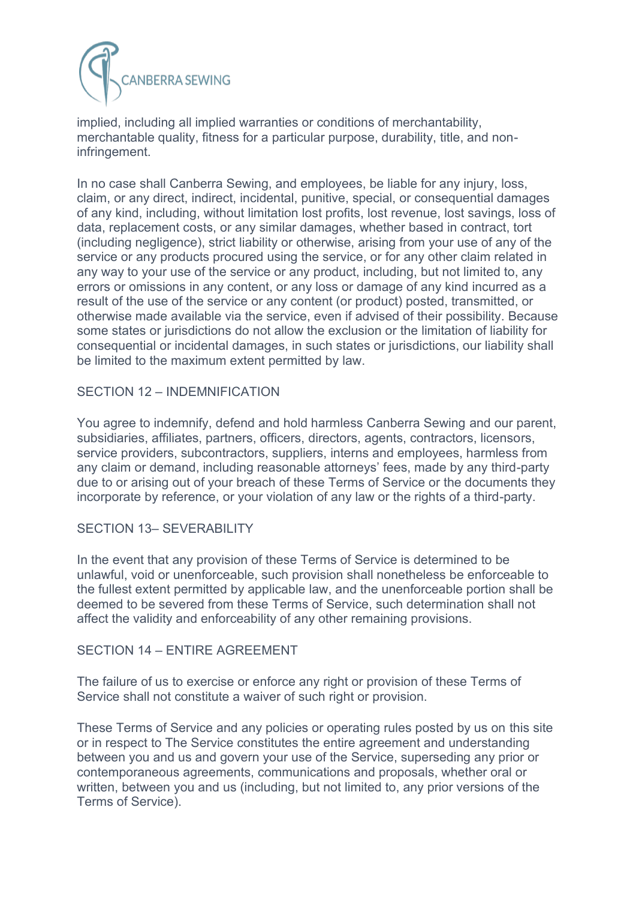

implied, including all implied warranties or conditions of merchantability, merchantable quality, fitness for a particular purpose, durability, title, and noninfringement.

In no case shall Canberra Sewing, and employees, be liable for any injury, loss, claim, or any direct, indirect, incidental, punitive, special, or consequential damages of any kind, including, without limitation lost profits, lost revenue, lost savings, loss of data, replacement costs, or any similar damages, whether based in contract, tort (including negligence), strict liability or otherwise, arising from your use of any of the service or any products procured using the service, or for any other claim related in any way to your use of the service or any product, including, but not limited to, any errors or omissions in any content, or any loss or damage of any kind incurred as a result of the use of the service or any content (or product) posted, transmitted, or otherwise made available via the service, even if advised of their possibility. Because some states or jurisdictions do not allow the exclusion or the limitation of liability for consequential or incidental damages, in such states or jurisdictions, our liability shall be limited to the maximum extent permitted by law.

### SECTION 12 – INDEMNIFICATION

You agree to indemnify, defend and hold harmless Canberra Sewing and our parent, subsidiaries, affiliates, partners, officers, directors, agents, contractors, licensors, service providers, subcontractors, suppliers, interns and employees, harmless from any claim or demand, including reasonable attorneys' fees, made by any third-party due to or arising out of your breach of these Terms of Service or the documents they incorporate by reference, or your violation of any law or the rights of a third-party.

#### SECTION 13– SEVERABILITY

In the event that any provision of these Terms of Service is determined to be unlawful, void or unenforceable, such provision shall nonetheless be enforceable to the fullest extent permitted by applicable law, and the unenforceable portion shall be deemed to be severed from these Terms of Service, such determination shall not affect the validity and enforceability of any other remaining provisions.

### SECTION 14 – ENTIRE AGREEMENT

The failure of us to exercise or enforce any right or provision of these Terms of Service shall not constitute a waiver of such right or provision.

These Terms of Service and any policies or operating rules posted by us on this site or in respect to The Service constitutes the entire agreement and understanding between you and us and govern your use of the Service, superseding any prior or contemporaneous agreements, communications and proposals, whether oral or written, between you and us (including, but not limited to, any prior versions of the Terms of Service).